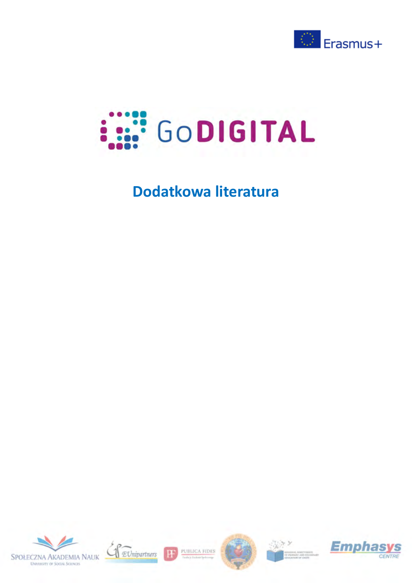



# **Dodatkowa literatura**





PUBLICA FIDES

H





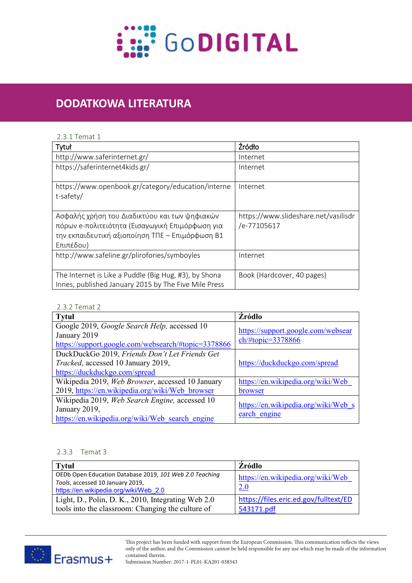

# Dodatkowa literatura **DODATKOWA LITERATURA**

### 2.3.1 Temat 1

| Tytuł                                                                                                                                                            | Źródło                                              |
|------------------------------------------------------------------------------------------------------------------------------------------------------------------|-----------------------------------------------------|
| http://www.saferinternet.gr/                                                                                                                                     | Internet                                            |
| https://saferinternet4kids.gr/                                                                                                                                   | Internet                                            |
| https://www.openbook.gr/category/education/interne<br>t-safety/                                                                                                  | Internet                                            |
| Ασφαλής χρήση του Διαδικτύου και των ψηφιακών<br>πόρων e-πολιτειότητα (Εισαγωγική Επιμόρφωση για<br>την εκπαιδευτική αξιοποίηση ΤΠΕ – Επιμόρφωση Β1<br>Επιπέδου) | https://www.slideshare.net/vasilisdr<br>/e-77105617 |
| http://www.safeline.gr/plirofories/symboyles                                                                                                                     | Internet                                            |
| The Internet is Like a Puddle (Big Hug, #3), by Shona<br>Innes, published January 2015 by The Five Mile Press                                                    | Book (Hardcover, 40 pages)                          |

#### 2.3.2 Temat 2

| <b>Tytuł</b>                                        | <b>Źródło</b>                                                                     |
|-----------------------------------------------------|-----------------------------------------------------------------------------------|
| Google 2019, Google Search Help, accessed 10        |                                                                                   |
| January 2019                                        | https://support.google.com/websear<br>$\frac{\text{ch}}{\text{#topic}} = 3378866$ |
| https://support.google.com/websearch/#topic=3378866 |                                                                                   |
| DuckDuckGo 2019, Friends Don't Let Friends Get      |                                                                                   |
| <i>Tracked</i> , accessed 10 January 2019,          | https://duckduckgo.com/spread                                                     |
| https://duckduckgo.com/spread                       |                                                                                   |
| Wikipedia 2019, Web Browser, accessed 10 January    | https://en.wikipedia.org/wiki/Web                                                 |
| 2019, https://en.wikipedia.org/wiki/Web browser     | <b>browser</b>                                                                    |
| Wikipedia 2019, Web Search Engine, accessed 10      |                                                                                   |
| January 2019,                                       | https://en.wikipedia.org/wiki/Web s                                               |
| https://en.wikipedia.org/wiki/Web search engine     | earch engine                                                                      |

### 2.3.3 Temat 3

| <b>Tytuł</b>                                                                                                                         | Zródło                                              |
|--------------------------------------------------------------------------------------------------------------------------------------|-----------------------------------------------------|
| OEDb Open Education Database 2019, 101 Web 2.0 Teaching<br>Tools, accessed 10 January 2019,<br>https://en.wikipedia.org/wiki/Web 2.0 | https://en.wikipedia.org/wiki/Web<br><b>2.0</b>     |
| Light, D., Polin, D. K., 2010, Integrating Web 2.0<br>tools into the classroom: Changing the culture of                              | https://files.eric.ed.gov/fulltext/ED<br>543171.pdf |

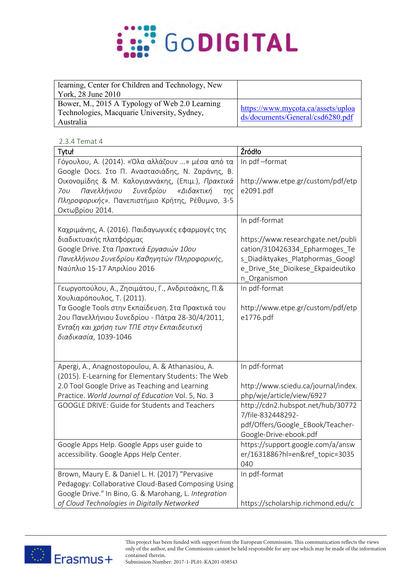

| learning, Center for Children and Technology, New |                                                                        |
|---------------------------------------------------|------------------------------------------------------------------------|
| York, 28 June 2010                                |                                                                        |
| Bower, M., 2015 A Typology of Web 2.0 Learning    |                                                                        |
| Technologies, Macquarie University, Sydney,       | https://www.mycota.ca/assets/uploa<br>ds/documents/General/csd6280.pdf |
| Australia                                         |                                                                        |

## 2.3.4 Temat 4

| Tytuł                                                                                                   | Źródło                              |
|---------------------------------------------------------------------------------------------------------|-------------------------------------|
| Γόγουλου, Α. (2014). «Όλα αλλάζουν » μέσα από τα                                                        | In pdf-format                       |
| Google Docs. Στο Π. Αναστασιάδης, Ν. Ζαράνης, Β.                                                        |                                     |
| Οικονομίδης & Μ. Καλογιαννάκης, (Επιμ.), Πρακτικά                                                       | http://www.etpe.gr/custom/pdf/etp   |
| Πανελλήνιου<br>Συνεδρίου<br>«Διδακτική<br>70U<br>$T\eta\zeta$                                           | e2091.pdf                           |
| Πληροφορικής». Πανεπιστήμιο Κρήτης, Ρέθυμνο, 3-5                                                        |                                     |
| Οκτωβρίου 2014.                                                                                         |                                     |
|                                                                                                         | In pdf-format                       |
| Καχριμάνης, Α. (2016). Παιδαγωγικές εφαρμογές της                                                       |                                     |
| διαδικτυακής πλατφόρμας                                                                                 | https://www.researchgate.net/publi  |
| Google Drive. Στα Πρακτικά Εργασιών 10ου                                                                | cation/310426334_Epharmoges_Te      |
| Πανελλήνιου Συνεδρίου Καθηγητών Πληροφορικής,                                                           | s_Diadiktyakes_Platphormas_Googl    |
| Ναύπλιο 15-17 Απριλίου 2016                                                                             | e_Drive_Ste_Dioikese_Ekpaideutiko   |
|                                                                                                         | n_Organismon                        |
| Γεωργοπούλου, Α., Ζησιμάτου, Γ., Ανδριτσάκης, Π.&                                                       | In pdf-format                       |
| Χουλιαρόπουλος, Τ. (2011).                                                                              |                                     |
| Τα Google Tools στην Εκπαίδευση. Στα Πρακτικά του                                                       | http://www.etpe.gr/custom/pdf/etp   |
| 2ου Πανελλήνιου Συνεδρίου - Πάτρα 28-30/4/2011,                                                         | e1776.pdf                           |
| Ένταξη και χρήση των ΤΠΕ στην Εκπαιδευτική                                                              |                                     |
| διαδικασία, 1039-1046                                                                                   |                                     |
|                                                                                                         |                                     |
|                                                                                                         |                                     |
| Apergi, A., Anagnostopoulou, A. & Athanasiou, A.<br>(2015). E-Learning for Elementary Students: The Web | In pdf-format                       |
| 2.0 Tool Google Drive as Teaching and Learning                                                          | http://www.sciedu.ca/journal/index. |
| Practice. World Journal of Education Vol. 5, No. 3                                                      | php/wje/article/view/6927           |
| <b>GOOGLE DRIVE: Guide for Students and Teachers</b>                                                    | http://cdn2.hubspot.net/hub/30772   |
|                                                                                                         | 7/file-832448292-                   |
|                                                                                                         | pdf/Offers/Google_EBook/Teacher-    |
|                                                                                                         | Google-Drive-ebook.pdf              |
| Google Apps Help. Google Apps user guide to                                                             | https://support.google.com/a/answ   |
| accessibility. Google Apps Help Center.                                                                 | er/1631886?hl=en&ref_topic=3035     |
|                                                                                                         | 040                                 |
| Brown, Maury E. & Daniel L. H. (2017) "Pervasive                                                        | In pdf-format                       |
| Pedagogy: Collaborative Cloud-Based Composing Using                                                     |                                     |
| Google Drive." In Bino, G. & Marohang, L. Integration                                                   |                                     |
| of Cloud Technologies in Digitally Networked                                                            | https://scholarship.richmond.edu/c  |



This project has been funded with support from the European Commission. This communication reflects the views **O1/A5 – Module 5** only of the author, and the Commission cannot be held responsible for any use which may be made of the information contained therein.